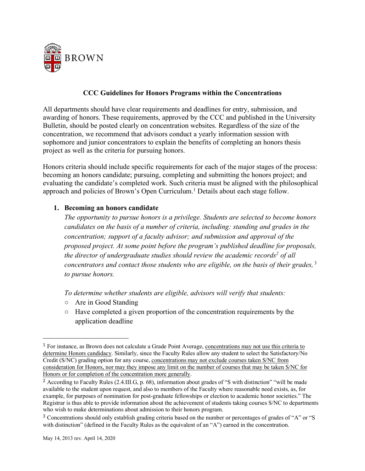

#### **CCC Guidelines for Honors Programs within the Concentrations**

All departments should have clear requirements and deadlines for entry, submission, and awarding of honors. These requirements, approved by the CCC and published in the University Bulletin, should be posted clearly on concentration websites. Regardless of the size of the concentration, we recommend that advisors conduct a yearly information session with sophomore and junior concentrators to explain the benefits of completing an honors thesis project as well as the criteria for pursuing honors.

Honors criteria should include specific requirements for each of the major stages of the process: becoming an honors candidate; pursuing, completing and submitting the honors project; and evaluating the candidate's completed work. Such criteria must be aligned with the philosophical approach and policies of Brown's Open Curriculum. <sup>1</sup> Details about each stage follow.

#### **1. Becoming an honors candidate**

*The opportunity to pursue honors is a privilege. Students are selected to become honors candidates on the basis of a number of criteria, including: standing and grades in the concentration; support of a faculty advisor; and submission and approval of the proposed project. At some point before the program's published deadline for proposals, the director of undergraduate studies should review the academic records2 of all concentrators and contact those students who are eligible, on the basis of their grades,* <sup>3</sup> *to pursue honors.* 

*To determine whether students are eligible, advisors will verify that students:* 

○ Are in Good Standing

 

○ Have completed a given proportion of the concentration requirements by the application deadline

<sup>1</sup> For instance, as Brown does not calculate a Grade Point Average, concentrations may not use this criteria to determine Honors candidacy. Similarly, since the Faculty Rules allow any student to select the Satisfactory/No Credit (S/NC) grading option for any course, concentrations may not exclude courses taken S/NC from consideration for Honors, nor may they impose any limit on the number of courses that may be taken S/NC for Honors or for completion of the concentration more generally.

<sup>2</sup> According to Faculty Rules (2.4.III.G, p. 68), information about grades of "S with distinction" "will be made available to the student upon request, and also to members of the Faculty where reasonable need exists, as, for example, for purposes of nomination for post-graduate fellowships or election to academic honor societies." The Registrar is thus able to provide information about the achievement of students taking courses S/NC to departments who wish to make determinations about admission to their honors program.

<sup>3</sup> Concentrations should only establish grading criteria based on the number or percentages of grades of "A" or "S with distinction" (defined in the Faculty Rules as the equivalent of an "A") earned in the concentration.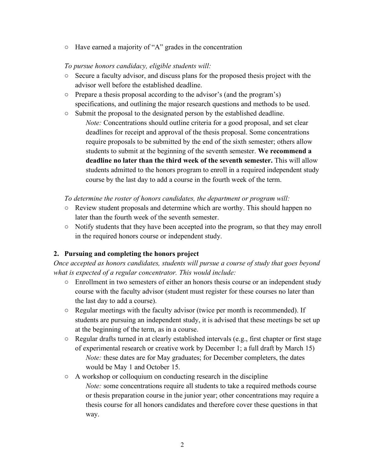○ Have earned a majority of "A" grades in the concentration

## *To pursue honors candidacy, eligible students will:*

- Secure a faculty advisor, and discuss plans for the proposed thesis project with the advisor well before the established deadline.
- Prepare a thesis proposal according to the advisor's (and the program's) specifications, and outlining the major research questions and methods to be used.
- Submit the proposal to the designated person by the established deadline.
	- *Note:* Concentrations should outline criteria for a good proposal, and set clear deadlines for receipt and approval of the thesis proposal. Some concentrations require proposals to be submitted by the end of the sixth semester; others allow students to submit at the beginning of the seventh semester. **We recommend a deadline no later than the third week of the seventh semester.** This will allow students admitted to the honors program to enroll in a required independent study course by the last day to add a course in the fourth week of the term.

*To determine the roster of honors candidates, the department or program will:*

- Review student proposals and determine which are worthy. This should happen no later than the fourth week of the seventh semester.
- Notify students that they have been accepted into the program, so that they may enroll in the required honors course or independent study.

## **2. Pursuing and completing the honors project**

*Once accepted as honors candidates, students will pursue a course of study that goes beyond what is expected of a regular concentrator. This would include:*

- **○** Enrollment in two semesters of either an honors thesis course or an independent study course with the faculty advisor (student must register for these courses no later than the last day to add a course).
- **○** Regular meetings with the faculty advisor (twice per month is recommended). If students are pursuing an independent study, it is advised that these meetings be set up at the beginning of the term, as in a course.
- **○** Regular drafts turned in at clearly established intervals (e.g., first chapter or first stage of experimental research or creative work by December 1; a full draft by March 15) *Note:* these dates are for May graduates; for December completers, the dates would be May 1 and October 15.
- **○** A workshop or colloquium on conducting research in the discipline
	- *Note:* some concentrations require all students to take a required methods course or thesis preparation course in the junior year; other concentrations may require a thesis course for all honors candidates and therefore cover these questions in that way.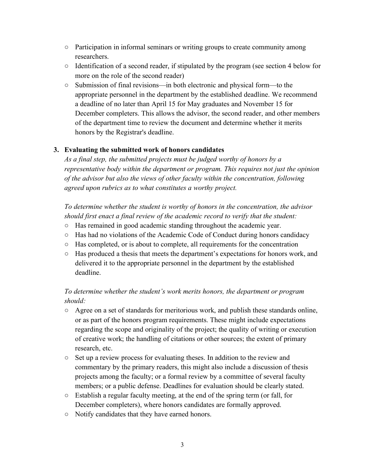- **○** Participation in informal seminars or writing groups to create community among researchers.
- **○** Identification of a second reader, if stipulated by the program (see section 4 below for more on the role of the second reader)
- **○** Submission of final revisions—in both electronic and physical form—to the appropriate personnel in the department by the established deadline. We recommend a deadline of no later than April 15 for May graduates and November 15 for December completers. This allows the advisor, the second reader, and other members of the department time to review the document and determine whether it merits honors by the Registrar's deadline.

## **3. Evaluating the submitted work of honors candidates**

*As a final step, the submitted projects must be judged worthy of honors by a representative body within the department or program. This requires not just the opinion of the advisor but also the views of other faculty within the concentration, following agreed upon rubrics as to what constitutes a worthy project.* 

*To determine whether the student is worthy of honors in the concentration, the advisor should first enact a final review of the academic record to verify that the student:*

- **○** Has remained in good academic standing throughout the academic year.
- **○** Has had no violations of the Academic Code of Conduct during honors candidacy
- **○** Has completed, or is about to complete, all requirements for the concentration
- **○** Has produced a thesis that meets the department's expectations for honors work, and delivered it to the appropriate personnel in the department by the established deadline.

## *To determine whether the student's work merits honors, the department or program should:*

- **○** Agree on a set of standards for meritorious work, and publish these standards online, or as part of the honors program requirements. These might include expectations regarding the scope and originality of the project; the quality of writing or execution of creative work; the handling of citations or other sources; the extent of primary research, etc.
- **○** Set up a review process for evaluating theses. In addition to the review and commentary by the primary readers, this might also include a discussion of thesis projects among the faculty; or a formal review by a committee of several faculty members; or a public defense. Deadlines for evaluation should be clearly stated.
- **○** Establish a regular faculty meeting, at the end of the spring term (or fall, for December completers), where honors candidates are formally approved.
- **○** Notify candidates that they have earned honors.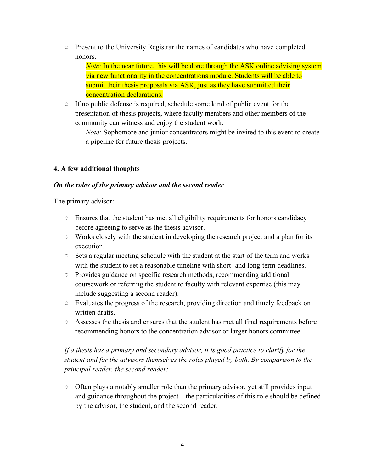**○** Present to the University Registrar the names of candidates who have completed honors.

*Note*: In the near future, this will be done through the ASK online advising system via new functionality in the concentrations module. Students will be able to submit their thesis proposals via ASK, just as they have submitted their concentration declarations.

**○** If no public defense is required, schedule some kind of public event for the presentation of thesis projects, where faculty members and other members of the community can witness and enjoy the student work.

*Note:* Sophomore and junior concentrators might be invited to this event to create a pipeline for future thesis projects.

## **4. A few additional thoughts**

### *On the roles of the primary advisor and the second reader*

The primary advisor:

- **○** Ensures that the student has met all eligibility requirements for honors candidacy before agreeing to serve as the thesis advisor.
- **○** Works closely with the student in developing the research project and a plan for its execution.
- **○** Sets a regular meeting schedule with the student at the start of the term and works with the student to set a reasonable timeline with short- and long-term deadlines.
- **○** Provides guidance on specific research methods, recommending additional coursework or referring the student to faculty with relevant expertise (this may include suggesting a second reader).
- **○** Evaluates the progress of the research, providing direction and timely feedback on written drafts.
- **○** Assesses the thesis and ensures that the student has met all final requirements before recommending honors to the concentration advisor or larger honors committee.

# *If a thesis has a primary and secondary advisor, it is good practice to clarify for the student and for the advisors themselves the roles played by both. By comparison to the principal reader, the second reader:*

**○** Often plays a notably smaller role than the primary advisor, yet still provides input and guidance throughout the project – the particularities of this role should be defined by the advisor, the student, and the second reader.